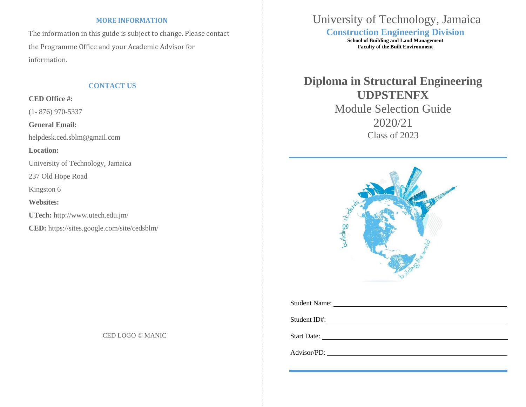## **MORE INFORMATION**

The information in this guide is subject to change. Please contact the Programme Office and your Academic Advisor for information.

**CED Office #:**

(1- 876) 970-5337

**General Email:**

[helpdesk.ced.sblm@gmail.com](mailto:helpdesk.ced.sblm@gmail.com)

**Location:**

University of Technology, Jamaica

237 Old Hope Road

Kingston 6

**Websites:**

**UTech:** <http://www.utech.edu.jm/>

**CED:** https://sites.google.com/site/cedsblm/

CED LOGO © MANIC

## University of Technology, Jamaica **Construction Engineering Division**

**School of Building and Land Management Faculty of the Built Environment** 

## **CONTACT US CONTACT US Diploma in Structural Engineering UDPSTENFX** Module Selection Guide 2020/21 Class of 2023



| Student Name: _ | <u> 1980 - Jan Samuel Barbara, martin da shekarar 1980 - An tsara 1980 - An tsara 1980 - An tsara 1980 - An tsar</u> |  |  |
|-----------------|----------------------------------------------------------------------------------------------------------------------|--|--|
|                 |                                                                                                                      |  |  |
|                 |                                                                                                                      |  |  |
| Advisor/PD:     |                                                                                                                      |  |  |